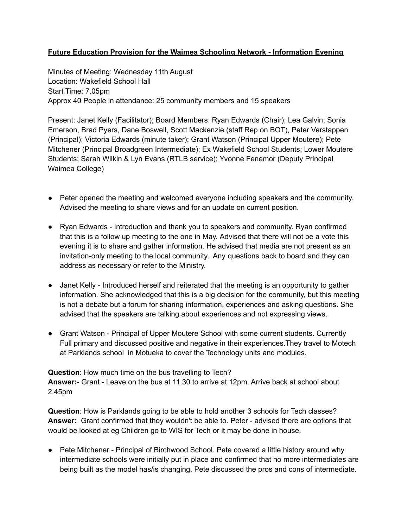# **Future Education Provision for the Waimea Schooling Network - Information Evening**

Minutes of Meeting: Wednesday 11th August Location: Wakefield School Hall Start Time: 7.05pm Approx 40 People in attendance: 25 community members and 15 speakers

Present: Janet Kelly (Facilitator); Board Members: Ryan Edwards (Chair); Lea Galvin; Sonia Emerson, Brad Pyers, Dane Boswell, Scott Mackenzie (staff Rep on BOT), Peter Verstappen (Principal); Victoria Edwards (minute taker); Grant Watson (Principal Upper Moutere); Pete Mitchener (Principal Broadgreen Intermediate); Ex Wakefield School Students; Lower Moutere Students; Sarah Wilkin & Lyn Evans (RTLB service); Yvonne Fenemor (Deputy Principal Waimea College)

- Peter opened the meeting and welcomed everyone including speakers and the community. Advised the meeting to share views and for an update on current position.
- Ryan Edwards Introduction and thank you to speakers and community. Ryan confirmed that this is a follow up meeting to the one in May. Advised that there will not be a vote this evening it is to share and gather information. He advised that media are not present as an invitation-only meeting to the local community. Any questions back to board and they can address as necessary or refer to the Ministry.
- Janet Kelly Introduced herself and reiterated that the meeting is an opportunity to gather information. She acknowledged that this is a big decision for the community, but this meeting is not a debate but a forum for sharing information, experiences and asking questions. She advised that the speakers are talking about experiences and not expressing views.
- Grant Watson Principal of Upper Moutere School with some current students. Currently Full primary and discussed positive and negative in their experiences.They travel to Motech at Parklands school in Motueka to cover the Technology units and modules.

**Question**: How much time on the bus travelling to Tech? **Answer:**- Grant - Leave on the bus at 11.30 to arrive at 12pm. Arrive back at school about 2.45pm

**Question**: How is Parklands going to be able to hold another 3 schools for Tech classes? **Answer:** Grant confirmed that they wouldn't be able to. Peter - advised there are options that would be looked at eg Children go to WIS for Tech or it may be done in house.

● Pete Mitchener - Principal of Birchwood School. Pete covered a little history around why intermediate schools were initially put in place and confirmed that no more intermediates are being built as the model has/is changing. Pete discussed the pros and cons of intermediate.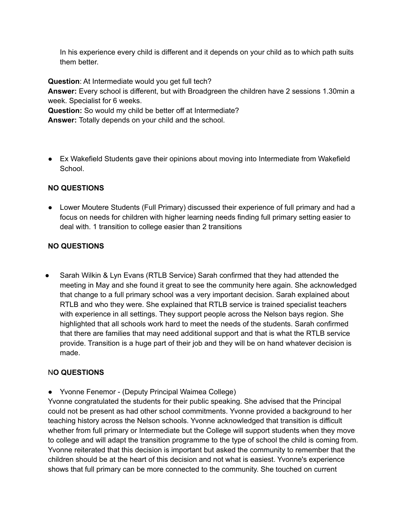In his experience every child is different and it depends on your child as to which path suits them better.

**Question**: At Intermediate would you get full tech?

**Answer:** Every school is different, but with Broadgreen the children have 2 sessions 1.30min a week. Specialist for 6 weeks.

**Question:** So would my child be better off at Intermediate?

**Answer:** Totally depends on your child and the school.

● Ex Wakefield Students gave their opinions about moving into Intermediate from Wakefield School.

# **NO QUESTIONS**

● Lower Moutere Students (Full Primary) discussed their experience of full primary and had a focus on needs for children with higher learning needs finding full primary setting easier to deal with. 1 transition to college easier than 2 transitions

# **NO QUESTIONS**

● Sarah Wilkin & Lyn Evans (RTLB Service) Sarah confirmed that they had attended the meeting in May and she found it great to see the community here again. She acknowledged that change to a full primary school was a very important decision. Sarah explained about RTLB and who they were. She explained that RTLB service is trained specialist teachers with experience in all settings. They support people across the Nelson bays region. She highlighted that all schools work hard to meet the needs of the students. Sarah confirmed that there are families that may need additional support and that is what the RTLB service provide. Transition is a huge part of their job and they will be on hand whatever decision is made.

# N**O QUESTIONS**

● Yvonne Fenemor - (Deputy Principal Waimea College)

Yvonne congratulated the students for their public speaking. She advised that the Principal could not be present as had other school commitments. Yvonne provided a background to her teaching history across the Nelson schools. Yvonne acknowledged that transition is difficult whether from full primary or Intermediate but the College will support students when they move to college and will adapt the transition programme to the type of school the child is coming from. Yvonne reiterated that this decision is important but asked the community to remember that the children should be at the heart of this decision and not what is easiest. Yvonne's experience shows that full primary can be more connected to the community. She touched on current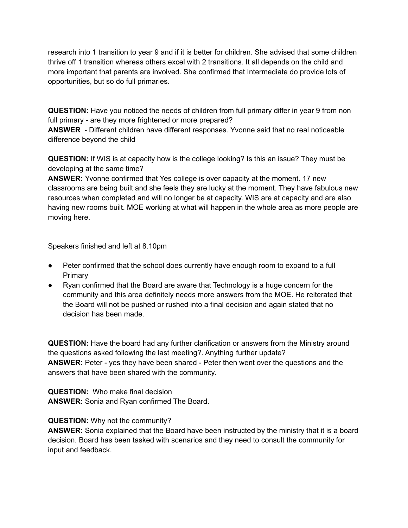research into 1 transition to year 9 and if it is better for children. She advised that some children thrive off 1 transition whereas others excel with 2 transitions. It all depends on the child and more important that parents are involved. She confirmed that Intermediate do provide lots of opportunities, but so do full primaries.

**QUESTION:** Have you noticed the needs of children from full primary differ in year 9 from non full primary - are they more frightened or more prepared?

**ANSWER** - Different children have different responses. Yvonne said that no real noticeable difference beyond the child

**QUESTION:** If WIS is at capacity how is the college looking? Is this an issue? They must be developing at the same time?

**ANSWER:** Yvonne confirmed that Yes college is over capacity at the moment. 17 new classrooms are being built and she feels they are lucky at the moment. They have fabulous new resources when completed and will no longer be at capacity. WIS are at capacity and are also having new rooms built. MOE working at what will happen in the whole area as more people are moving here.

Speakers finished and left at 8.10pm

- Peter confirmed that the school does currently have enough room to expand to a full **Primary**
- Ryan confirmed that the Board are aware that Technology is a huge concern for the community and this area definitely needs more answers from the MOE. He reiterated that the Board will not be pushed or rushed into a final decision and again stated that no decision has been made.

**QUESTION:** Have the board had any further clarification or answers from the Ministry around the questions asked following the last meeting?. Anything further update? **ANSWER:** Peter - yes they have been shared - Peter then went over the questions and the answers that have been shared with the community.

**QUESTION:** Who make final decision **ANSWER:** Sonia and Ryan confirmed The Board.

# **QUESTION:** Why not the community?

**ANSWER:** Sonia explained that the Board have been instructed by the ministry that it is a board decision. Board has been tasked with scenarios and they need to consult the community for input and feedback.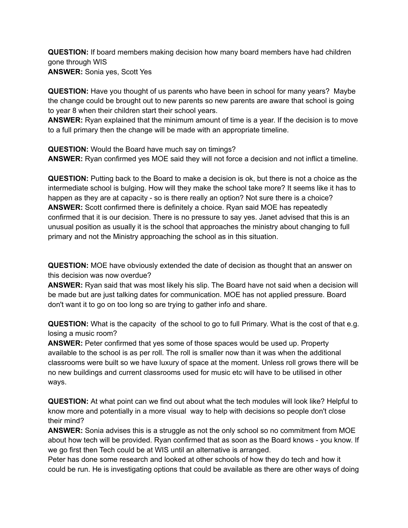**QUESTION:** If board members making decision how many board members have had children gone through WIS **ANSWER:** Sonia yes, Scott Yes

**QUESTION:** Have you thought of us parents who have been in school for many years? Maybe the change could be brought out to new parents so new parents are aware that school is going to year 8 when their children start their school years.

**ANSWER:** Ryan explained that the minimum amount of time is a year. If the decision is to move to a full primary then the change will be made with an appropriate timeline.

**QUESTION:** Would the Board have much say on timings? **ANSWER:** Ryan confirmed yes MOE said they will not force a decision and not inflict a timeline.

**QUESTION:** Putting back to the Board to make a decision is ok, but there is not a choice as the intermediate school is bulging. How will they make the school take more? It seems like it has to happen as they are at capacity - so is there really an option? Not sure there is a choice? **ANSWER:** Scott confirmed there is definitely a choice. Ryan said MOE has repeatedly confirmed that it is our decision. There is no pressure to say yes. Janet advised that this is an unusual position as usually it is the school that approaches the ministry about changing to full primary and not the Ministry approaching the school as in this situation.

**QUESTION:** MOE have obviously extended the date of decision as thought that an answer on this decision was now overdue?

**ANSWER:** Ryan said that was most likely his slip. The Board have not said when a decision will be made but are just talking dates for communication. MOE has not applied pressure. Board don't want it to go on too long so are trying to gather info and share.

**QUESTION:** What is the capacity of the school to go to full Primary. What is the cost of that e.g. losing a music room?

**ANSWER:** Peter confirmed that yes some of those spaces would be used up. Property available to the school is as per roll. The roll is smaller now than it was when the additional classrooms were built so we have luxury of space at the moment. Unless roll grows there will be no new buildings and current classrooms used for music etc will have to be utilised in other ways.

**QUESTION:** At what point can we find out about what the tech modules will look like? Helpful to know more and potentially in a more visual way to help with decisions so people don't close their mind?

**ANSWER:** Sonia advises this is a struggle as not the only school so no commitment from MOE about how tech will be provided. Ryan confirmed that as soon as the Board knows - you know. If we go first then Tech could be at WIS until an alternative is arranged.

Peter has done some research and looked at other schools of how they do tech and how it could be run. He is investigating options that could be available as there are other ways of doing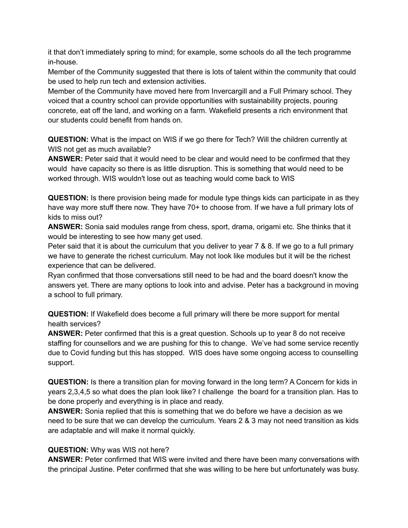it that don't immediately spring to mind; for example, some schools do all the tech programme in-house.

Member of the Community suggested that there is lots of talent within the community that could be used to help run tech and extension activities.

Member of the Community have moved here from Invercargill and a Full Primary school. They voiced that a country school can provide opportunities with sustainability projects, pouring concrete, eat off the land, and working on a farm. Wakefield presents a rich environment that our students could benefit from hands on.

**QUESTION:** What is the impact on WIS if we go there for Tech? Will the children currently at WIS not get as much available?

**ANSWER:** Peter said that it would need to be clear and would need to be confirmed that they would have capacity so there is as little disruption. This is something that would need to be worked through. WIS wouldn't lose out as teaching would come back to WIS

**QUESTION:** Is there provision being made for module type things kids can participate in as they have way more stuff there now. They have 70+ to choose from. If we have a full primary lots of kids to miss out?

**ANSWER:** Sonia said modules range from chess, sport, drama, origami etc. She thinks that it would be interesting to see how many get used.

Peter said that it is about the curriculum that you deliver to year 7 & 8. If we go to a full primary we have to generate the richest curriculum. May not look like modules but it will be the richest experience that can be delivered.

Ryan confirmed that those conversations still need to be had and the board doesn't know the answers yet. There are many options to look into and advise. Peter has a background in moving a school to full primary.

**QUESTION:** If Wakefield does become a full primary will there be more support for mental health services?

**ANSWER:** Peter confirmed that this is a great question. Schools up to year 8 do not receive staffing for counsellors and we are pushing for this to change. We've had some service recently due to Covid funding but this has stopped. WIS does have some ongoing access to counselling support.

**QUESTION:** Is there a transition plan for moving forward in the long term? A Concern for kids in years 2,3,4,5 so what does the plan look like? I challenge the board for a transition plan. Has to be done properly and everything is in place and ready.

**ANSWER:** Sonia replied that this is something that we do before we have a decision as we need to be sure that we can develop the curriculum. Years 2 & 3 may not need transition as kids are adaptable and will make it normal quickly.

# **QUESTION:** Why was WIS not here?

**ANSWER:** Peter confirmed that WIS were invited and there have been many conversations with the principal Justine. Peter confirmed that she was willing to be here but unfortunately was busy.